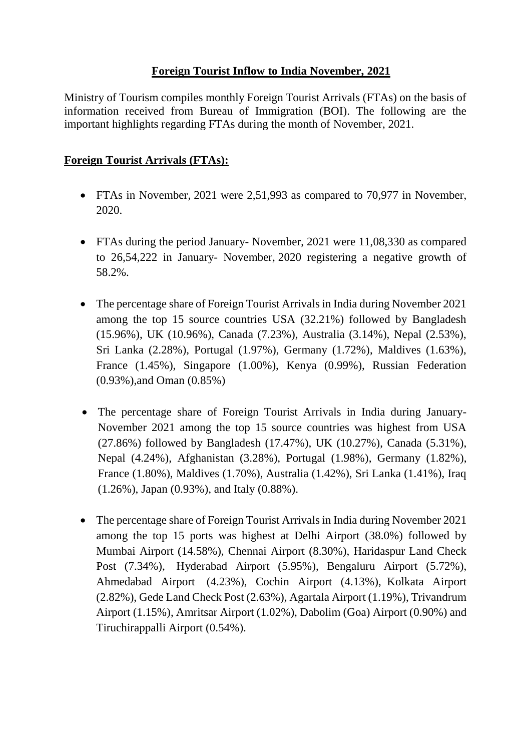## **Foreign Tourist Inflow to India November, 2021**

Ministry of Tourism compiles monthly Foreign Tourist Arrivals (FTAs) on the basis of information received from Bureau of Immigration (BOI). The following are the important highlights regarding FTAs during the month of November, 2021.

## **Foreign Tourist Arrivals (FTAs):**

- FTAs in November, 2021 were 2,51,993 as compared to 70,977 in November. 2020.
- FTAs during the period January- November, 2021 were 11,08,330 as compared to 26,54,222 in January- November, 2020 registering a negative growth of 58.2%.
- The percentage share of Foreign Tourist Arrivals in India during November 2021 among the top 15 source countries USA (32.21%) followed by Bangladesh (15.96%), UK (10.96%), Canada (7.23%), Australia (3.14%), Nepal (2.53%), Sri Lanka (2.28%), Portugal (1.97%), Germany (1.72%), Maldives (1.63%), France (1.45%), Singapore (1.00%), Kenya (0.99%), Russian Federation (0.93%),and Oman (0.85%)
- The percentage share of Foreign Tourist Arrivals in India during January-November 2021 among the top 15 source countries was highest from USA (27.86%) followed by Bangladesh (17.47%), UK (10.27%), Canada (5.31%), Nepal (4.24%), Afghanistan (3.28%), Portugal (1.98%), Germany (1.82%), France (1.80%), Maldives (1.70%), Australia (1.42%), Sri Lanka (1.41%), Iraq (1.26%), Japan (0.93%), and Italy (0.88%).
- The percentage share of Foreign Tourist Arrivals in India during November 2021 among the top 15 ports was highest at Delhi Airport (38.0%) followed by Mumbai Airport (14.58%), Chennai Airport (8.30%), Haridaspur Land Check Post (7.34%), Hyderabad Airport (5.95%), Bengaluru Airport (5.72%), Ahmedabad Airport (4.23%), Cochin Airport (4.13%), Kolkata Airport (2.82%), Gede Land Check Post (2.63%), Agartala Airport (1.19%), Trivandrum Airport (1.15%), Amritsar Airport (1.02%), Dabolim (Goa) Airport (0.90%) and Tiruchirappalli Airport (0.54%).